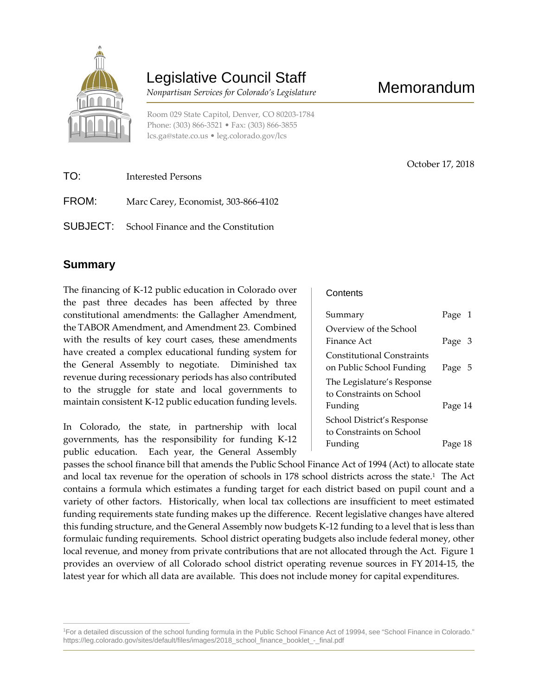

# Legislative Council Staff

*Nonpartisan Services for Colorado's Legislature*

Room 029 State Capitol, Denver, CO 80203-1784 Phone: (303) 866-3521 • Fax: (303) 866-3855 lcs.ga@state.co.us • leg.colorado.gov/lcs

| TO:   | Interested Persons                                  |
|-------|-----------------------------------------------------|
| FROM: | Marc Carey, Economist, 303-866-4102                 |
|       | <b>SUBJECT:</b> School Finance and the Constitution |

### **Summary**

The financing of K-12 public education in Colorado over the past three decades has been affected by three constitutional amendments: the Gallagher Amendment, the TABOR Amendment, and Amendment 23. Combined with the results of key court cases, these amendments have created a complex educational funding system for the General Assembly to negotiate. Diminished tax revenue during recessionary periods has also contributed to the struggle for state and local governments to maintain consistent K-12 public education funding levels.

In Colorado, the state, in partnership with local governments, has the responsibility for funding K-12 public education. Each year, the General Assembly **Contents** 

| Summary                                                       | Page 1  |  |
|---------------------------------------------------------------|---------|--|
| Overview of the School                                        |         |  |
| Finance Act                                                   | Page 3  |  |
| <b>Constitutional Constraints</b><br>on Public School Funding | Page 5  |  |
| The Legislature's Response<br>to Constraints on School        |         |  |
| Funding                                                       | Page 14 |  |
| School District's Response                                    |         |  |
| to Constraints on School                                      |         |  |
| Funding                                                       | Page 18 |  |

passes the school finance bill that amends the Public School Finance Act of 1994 (Act) to allocate state and local tax revenue for the operation of schools in 178 school districts across the state.<sup>1</sup> The Act contains a formula which estimates a funding target for each district based on pupil count and a variety of other factors. Historically, when local tax collections are insufficient to meet estimated funding requirements state funding makes up the difference. Recent legislative changes have altered this funding structure, and the General Assembly now budgets K-12 funding to a level that is less than formulaic funding requirements. School district operating budgets also include federal money, other local revenue, and money from private contributions that are not allocated through the Act. Figure 1 provides an overview of all Colorado school district operating revenue sources in FY 2014-15, the latest year for which all data are available. This does not include money for capital expenditures.

October 17, 2018

<sup>1</sup>For a detailed discussion of the school funding formula in the Public School Finance Act of 19994, see "School Finance in Colorado." https://leg.colorado.gov/sites/default/files/images/2018\_school\_finance\_booklet\_-\_final.pdf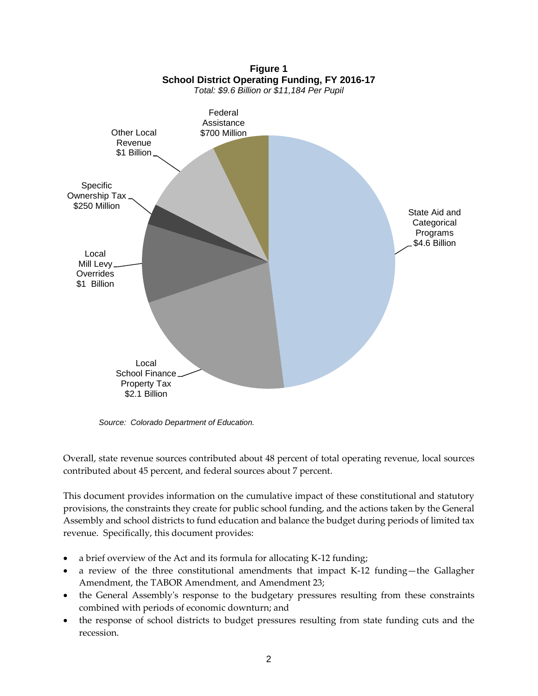

*Source: Colorado Department of Education.*

Overall, state revenue sources contributed about 48 percent of total operating revenue, local sources contributed about 45 percent, and federal sources about 7 percent.

This document provides information on the cumulative impact of these constitutional and statutory provisions, the constraints they create for public school funding, and the actions taken by the General Assembly and school districts to fund education and balance the budget during periods of limited tax revenue. Specifically, this document provides:

- a brief overview of the Act and its formula for allocating K-12 funding;
- a review of the three constitutional amendments that impact K-12 funding—the Gallagher Amendment, the TABOR Amendment, and Amendment 23;
- the General Assembly's response to the budgetary pressures resulting from these constraints combined with periods of economic downturn; and
- the response of school districts to budget pressures resulting from state funding cuts and the recession.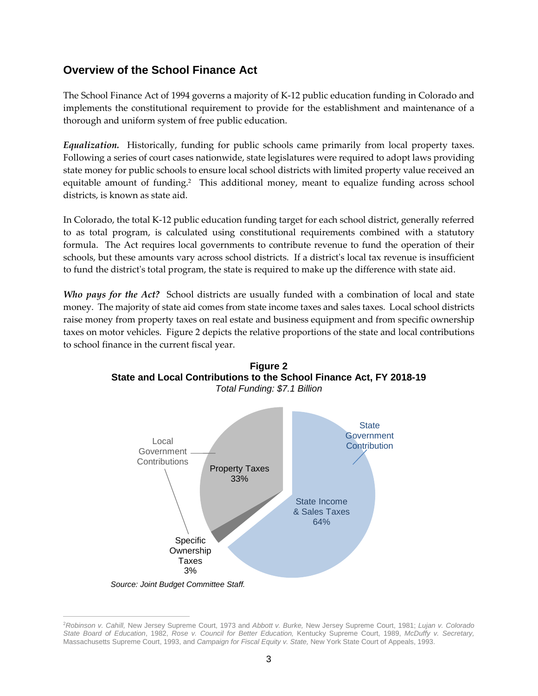### **Overview of the School Finance Act**

The School Finance Act of 1994 governs a majority of K-12 public education funding in Colorado and implements the constitutional requirement to provide for the establishment and maintenance of a thorough and uniform system of free public education.

*Equalization.* Historically, funding for public schools came primarily from local property taxes. Following a series of court cases nationwide, state legislatures were required to adopt laws providing state money for public schools to ensure local school districts with limited property value received an equitable amount of funding.<sup>2</sup> This additional money, meant to equalize funding across school districts, is known as state aid.

In Colorado, the total K-12 public education funding target for each school district, generally referred to as total program, is calculated using constitutional requirements combined with a statutory formula. The Act requires local governments to contribute revenue to fund the operation of their schools, but these amounts vary across school districts. If a district's local tax revenue is insufficient to fund the district's total program, the state is required to make up the difference with state aid.

*Who pays for the Act?* School districts are usually funded with a combination of local and state money. The majority of state aid comes from state income taxes and sales taxes. Local school districts raise money from property taxes on real estate and business equipment and from specific ownership taxes on motor vehicles. Figure 2 depicts the relative proportions of the state and local contributions to school finance in the current fiscal year.



**Figure 2 State and Local Contributions to the School Finance Act, FY 2018-19**

<sup>2</sup>*Robinson v. Cahill,* New Jersey Supreme Court, 1973 and *Abbott v. Burke,* New Jersey Supreme Court, 1981; *Lujan v. Colorado State Board of Education*, 1982, *Rose v. Council for Better Education,* Kentucky Supreme Court, 1989, *McDuffy v. Secretary,* Massachusetts Supreme Court, 1993, and *Campaign for Fiscal Equity v. State,* New York State Court of Appeals, 1993.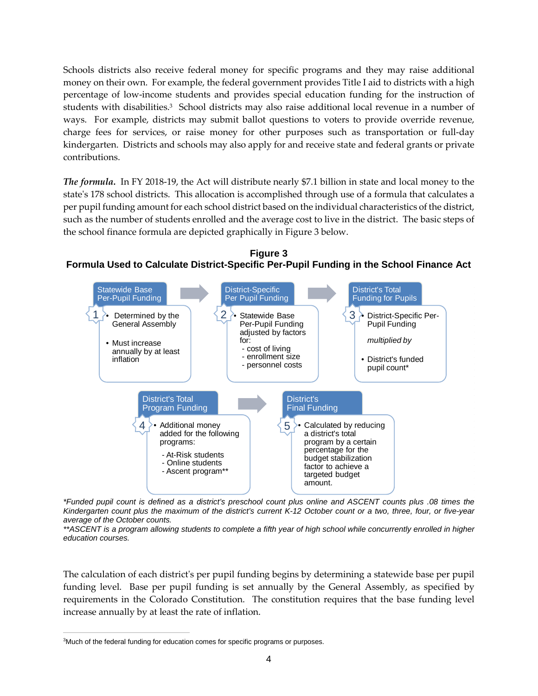Schools districts also receive federal money for specific programs and they may raise additional money on their own. For example, the federal government provides Title I aid to districts with a high percentage of low-income students and provides special education funding for the instruction of students with disabilities.<sup>3</sup> School districts may also raise additional local revenue in a number of ways. For example, districts may submit ballot questions to voters to provide override revenue, charge fees for services, or raise money for other purposes such as transportation or full-day kindergarten. Districts and schools may also apply for and receive state and federal grants or private contributions.

*The formula.* In FY 2018-19, the Act will distribute nearly \$7.1 billion in state and local money to the state's 178 school districts. This allocation is accomplished through use of a formula that calculates a per pupil funding amount for each school district based on the individual characteristics of the district, such as the number of students enrolled and the average cost to live in the district. The basic steps of the school finance formula are depicted graphically in Figure 3 below.



**Figure 3 Formula Used to Calculate District-Specific Per-Pupil Funding in the School Finance Act**

*\*Funded pupil count is defined as a district's preschool count plus online and ASCENT counts plus .08 times the Kindergarten count plus the maximum of the district's current K-12 October count or a two, three, four, or five-year average of the October counts.*

*\*\*ASCENT is a program allowing students to complete a fifth year of high school while concurrently enrolled in higher education courses.*

The calculation of each district's per pupil funding begins by determining a statewide base per pupil funding level. Base per pupil funding is set annually by the General Assembly, as specified by requirements in the Colorado Constitution. The constitution requires that the base funding level increase annually by at least the rate of inflation.

<sup>&</sup>lt;sup>3</sup>Much of the federal funding for education comes for specific programs or purposes.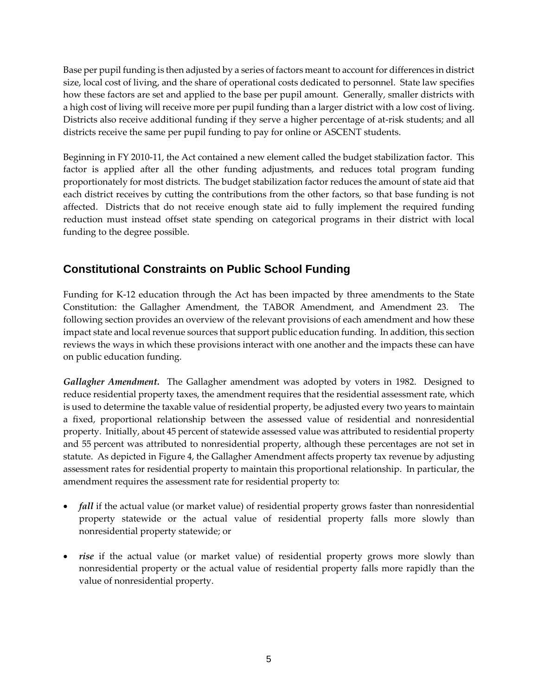Base per pupil funding is then adjusted by a series of factors meant to account for differences in district size, local cost of living, and the share of operational costs dedicated to personnel. State law specifies how these factors are set and applied to the base per pupil amount. Generally, smaller districts with a high cost of living will receive more per pupil funding than a larger district with a low cost of living. Districts also receive additional funding if they serve a higher percentage of at-risk students; and all districts receive the same per pupil funding to pay for online or ASCENT students.

Beginning in FY 2010-11, the Act contained a new element called the budget stabilization factor. This factor is applied after all the other funding adjustments, and reduces total program funding proportionately for most districts. The budget stabilization factor reduces the amount of state aid that each district receives by cutting the contributions from the other factors, so that base funding is not affected. Districts that do not receive enough state aid to fully implement the required funding reduction must instead offset state spending on categorical programs in their district with local funding to the degree possible.

## **Constitutional Constraints on Public School Funding**

Funding for K-12 education through the Act has been impacted by three amendments to the State Constitution: the Gallagher Amendment, the TABOR Amendment, and Amendment 23. The following section provides an overview of the relevant provisions of each amendment and how these impact state and local revenue sources that support public education funding. In addition, this section reviews the ways in which these provisions interact with one another and the impacts these can have on public education funding.

*Gallagher Amendment.* The Gallagher amendment was adopted by voters in 1982. Designed to reduce residential property taxes, the amendment requires that the residential assessment rate, which is used to determine the taxable value of residential property, be adjusted every two years to maintain a fixed, proportional relationship between the assessed value of residential and nonresidential property. Initially, about 45 percent of statewide assessed value was attributed to residential property and 55 percent was attributed to nonresidential property, although these percentages are not set in statute. As depicted in Figure 4, the Gallagher Amendment affects property tax revenue by adjusting assessment rates for residential property to maintain this proportional relationship. In particular, the amendment requires the assessment rate for residential property to:

- *fall* if the actual value (or market value) of residential property grows faster than nonresidential property statewide or the actual value of residential property falls more slowly than nonresidential property statewide; or
- *rise* if the actual value (or market value) of residential property grows more slowly than nonresidential property or the actual value of residential property falls more rapidly than the value of nonresidential property.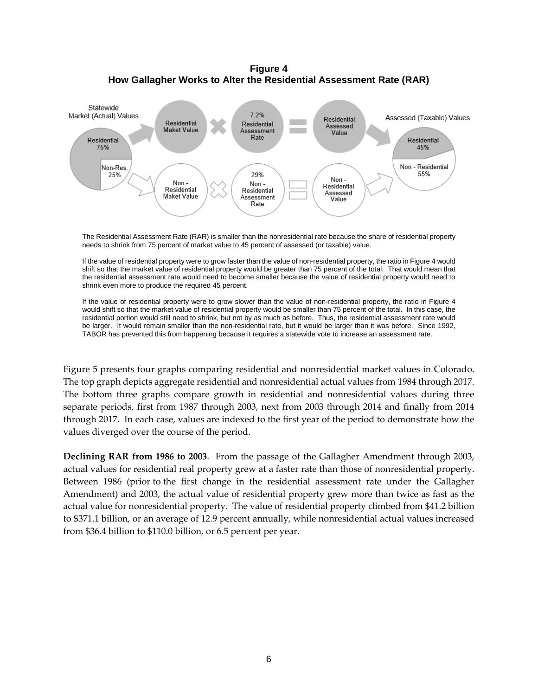**Figure 4 How Gallagher Works to Alter the Residential Assessment Rate (RAR)**



The Residential Assessment Rate (RAR) is smaller than the nonresidential rate because the share of residential property needs to shrink from 75 percent of market value to 45 percent of assessed (or taxable) value.

If the value of residential property were to grow faster than the value of non-residential property, the ratio in Figure 4 would shift so that the market value of residential property would be greater than 75 percent of the total. That would mean that the residential assessment rate would need to become smaller because the value of residential property would need to shrink even more to produce the required 45 percent.

If the value of residential property were to grow slower than the value of non-residential property, the ratio in Figure 4 would shift so that the market value of residential property would be smaller than 75 percent of the total. In this case, the residential portion would still need to shrink, but not by as much as before. Thus, the residential assessment rate would be larger. It would remain smaller than the non-residential rate, but it would be larger than it was before. Since 1992, TABOR has prevented this from happening because it requires a statewide vote to increase an assessment rate.

Figure 5 presents four graphs comparing residential and nonresidential market values in Colorado. The top graph depicts aggregate residential and nonresidential actual values from 1984 through 2017. The bottom three graphs compare growth in residential and nonresidential values during three separate periods, first from 1987 through 2003, next from 2003 through 2014 and finally from 2014 through 2017. In each case, values are indexed to the first year of the period to demonstrate how the values diverged over the course of the period.

**Declining RAR from 1986 to 2003**. From the passage of the Gallagher Amendment through 2003, actual values for residential real property grew at a faster rate than those of nonresidential property. Between 1986 (prior to the first change in the residential assessment rate under the Gallagher Amendment) and 2003, the actual value of residential property grew more than twice as fast as the actual value for nonresidential property. The value of residential property climbed from \$41.2 billion to \$371.1 billion, or an average of 12.9 percent annually, while nonresidential actual values increased from \$36.4 billion to \$110.0 billion, or 6.5 percent per year.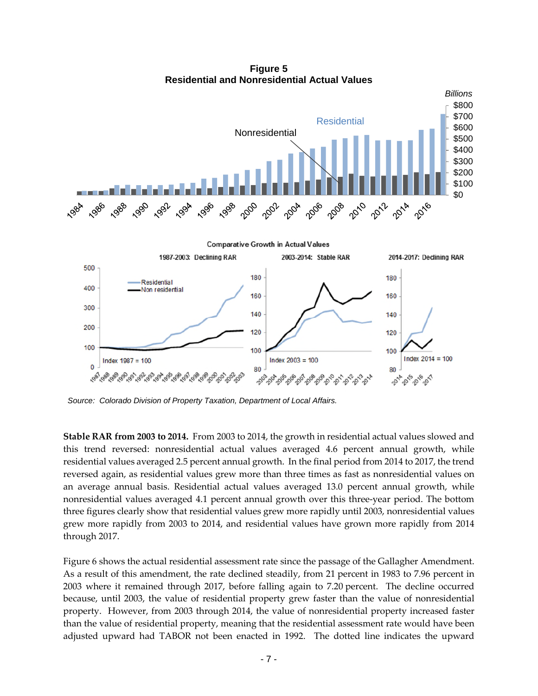

**Figure 5 Residential and Nonresidential Actual Values**

*Source: Colorado Division of Property Taxation, Department of Local Affairs.*

**Stable RAR from 2003 to 2014.** From 2003 to 2014, the growth in residential actual values slowed and this trend reversed: nonresidential actual values averaged 4.6 percent annual growth, while residential values averaged 2.5 percent annual growth. In the final period from 2014 to 2017, the trend reversed again, as residential values grew more than three times as fast as nonresidential values on an average annual basis. Residential actual values averaged 13.0 percent annual growth, while nonresidential values averaged 4.1 percent annual growth over this three-year period. The bottom three figures clearly show that residential values grew more rapidly until 2003, nonresidential values grew more rapidly from 2003 to 2014, and residential values have grown more rapidly from 2014 through 2017.

Figure 6 shows the actual residential assessment rate since the passage of the Gallagher Amendment. As a result of this amendment, the rate declined steadily, from 21 percent in 1983 to 7.96 percent in 2003 where it remained through 2017, before falling again to 7.20 percent. The decline occurred because, until 2003, the value of residential property grew faster than the value of nonresidential property. However, from 2003 through 2014, the value of nonresidential property increased faster than the value of residential property, meaning that the residential assessment rate would have been adjusted upward had TABOR not been enacted in 1992. The dotted line indicates the upward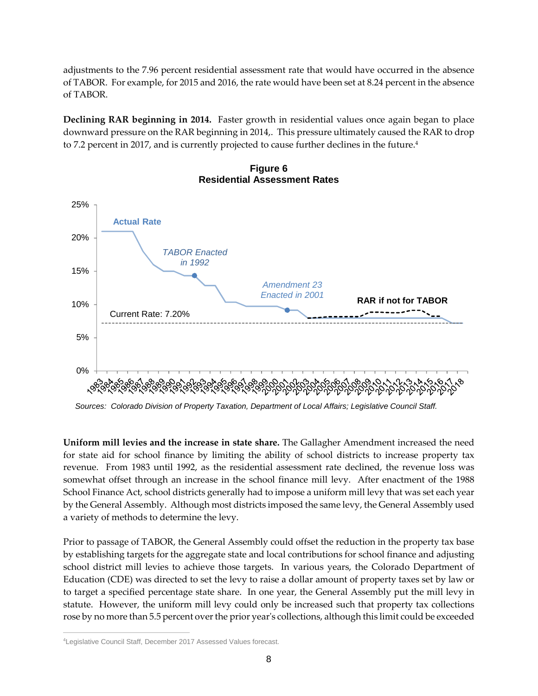adjustments to the 7.96 percent residential assessment rate that would have occurred in the absence of TABOR. For example, for 2015 and 2016, the rate would have been set at 8.24 percent in the absence of TABOR.

**Declining RAR beginning in 2014.** Faster growth in residential values once again began to place downward pressure on the RAR beginning in 2014,. This pressure ultimately caused the RAR to drop to 7.2 percent in 2017, and is currently projected to cause further declines in the future.<sup>4</sup>



#### **Figure 6 Residential Assessment Rates**

*Sources: Colorado Division of Property Taxation, Department of Local Affairs; Legislative Council Staff.*

**Uniform mill levies and the increase in state share.** The Gallagher Amendment increased the need for state aid for school finance by limiting the ability of school districts to increase property tax revenue. From 1983 until 1992, as the residential assessment rate declined, the revenue loss was somewhat offset through an increase in the school finance mill levy. After enactment of the 1988 School Finance Act, school districts generally had to impose a uniform mill levy that was set each year by the General Assembly. Although most districts imposed the same levy, the General Assembly used a variety of methods to determine the levy.

Prior to passage of TABOR, the General Assembly could offset the reduction in the property tax base by establishing targets for the aggregate state and local contributions for school finance and adjusting school district mill levies to achieve those targets. In various years, the Colorado Department of Education (CDE) was directed to set the levy to raise a dollar amount of property taxes set by law or to target a specified percentage state share. In one year, the General Assembly put the mill levy in statute. However, the uniform mill levy could only be increased such that property tax collections rose by no more than 5.5 percent over the prior year's collections, although this limit could be exceeded

<sup>4</sup>Legislative Council Staff, December 2017 Assessed Values forecast.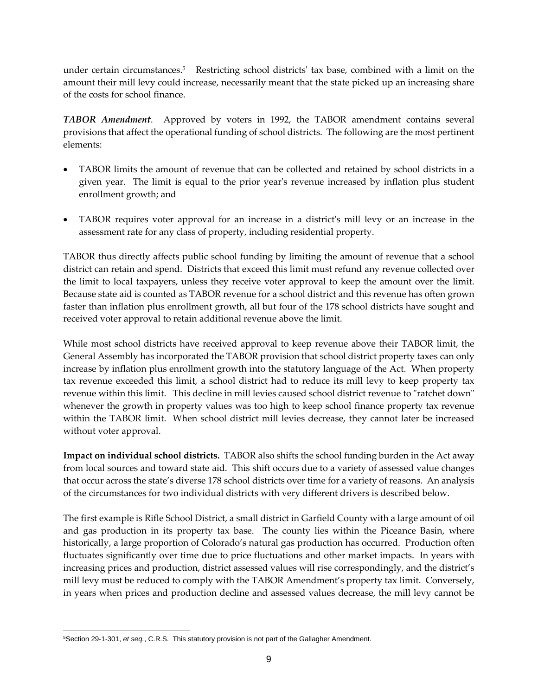under certain circumstances.<sup>5</sup> Restricting school districts' tax base, combined with a limit on the amount their mill levy could increase, necessarily meant that the state picked up an increasing share of the costs for school finance.

*TABOR Amendment*. Approved by voters in 1992, the TABOR amendment contains several provisions that affect the operational funding of school districts. The following are the most pertinent elements:

- TABOR limits the amount of revenue that can be collected and retained by school districts in a given year. The limit is equal to the prior year's revenue increased by inflation plus student enrollment growth; and
- TABOR requires voter approval for an increase in a district's mill levy or an increase in the assessment rate for any class of property, including residential property.

TABOR thus directly affects public school funding by limiting the amount of revenue that a school district can retain and spend. Districts that exceed this limit must refund any revenue collected over the limit to local taxpayers, unless they receive voter approval to keep the amount over the limit. Because state aid is counted as TABOR revenue for a school district and this revenue has often grown faster than inflation plus enrollment growth, all but four of the 178 school districts have sought and received voter approval to retain additional revenue above the limit.

While most school districts have received approval to keep revenue above their TABOR limit, the General Assembly has incorporated the TABOR provision that school district property taxes can only increase by inflation plus enrollment growth into the statutory language of the Act. When property tax revenue exceeded this limit, a school district had to reduce its mill levy to keep property tax revenue within this limit. This decline in mill levies caused school district revenue to "ratchet down" whenever the growth in property values was too high to keep school finance property tax revenue within the TABOR limit. When school district mill levies decrease, they cannot later be increased without voter approval.

**Impact on individual school districts.** TABOR also shifts the school funding burden in the Act away from local sources and toward state aid. This shift occurs due to a variety of assessed value changes that occur across the state's diverse 178 school districts over time for a variety of reasons. An analysis of the circumstances for two individual districts with very different drivers is described below.

The first example is Rifle School District, a small district in Garfield County with a large amount of oil and gas production in its property tax base. The county lies within the Piceance Basin, where historically, a large proportion of Colorado's natural gas production has occurred. Production often fluctuates significantly over time due to price fluctuations and other market impacts. In years with increasing prices and production, district assessed values will rise correspondingly, and the district's mill levy must be reduced to comply with the TABOR Amendment's property tax limit. Conversely, in years when prices and production decline and assessed values decrease, the mill levy cannot be

<sup>5</sup>Section 29-1-301, *et seq.*, C.R.S. This statutory provision is not part of the Gallagher Amendment.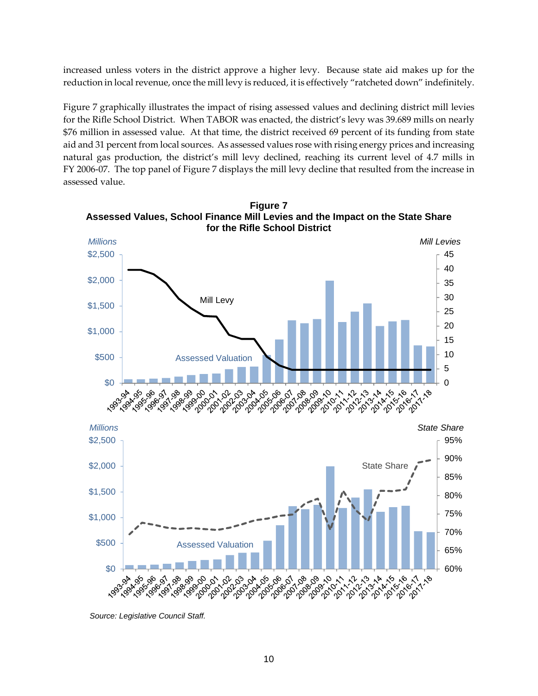increased unless voters in the district approve a higher levy. Because state aid makes up for the reduction in local revenue, once the mill levy is reduced, it is effectively "ratcheted down" indefinitely.

Figure 7 graphically illustrates the impact of rising assessed values and declining district mill levies for the Rifle School District. When TABOR was enacted, the district's levy was 39.689 mills on nearly \$76 million in assessed value. At that time, the district received 69 percent of its funding from state aid and 31 percent from local sources. As assessed values rose with rising energy prices and increasing natural gas production, the district's mill levy declined, reaching its current level of 4.7 mills in FY 2006-07. The top panel of Figure 7 displays the mill levy decline that resulted from the increase in assessed value.



**Figure 7**

*Source: Legislative Council Staff.*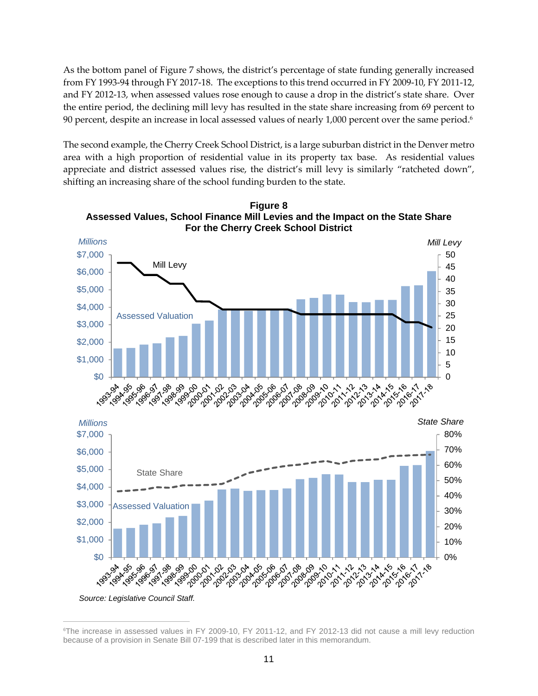As the bottom panel of Figure 7 shows, the district's percentage of state funding generally increased from FY 1993-94 through FY 2017-18. The exceptions to this trend occurred in FY 2009-10, FY 2011-12, and FY 2012-13, when assessed values rose enough to cause a drop in the district's state share. Over the entire period, the declining mill levy has resulted in the state share increasing from 69 percent to 90 percent, despite an increase in local assessed values of nearly 1,000 percent over the same period.<sup>6</sup>

The second example, the Cherry Creek School District, is a large suburban district in the Denver metro area with a high proportion of residential value in its property tax base. As residential values appreciate and district assessed values rise, the district's mill levy is similarly "ratcheted down", shifting an increasing share of the school funding burden to the state.



**Figure 8 Assessed Values, School Finance Mill Levies and the Impact on the State Share**

*Source: Legislative Council Staff.*

<sup>6</sup>The increase in assessed values in FY 2009-10, FY 2011-12, and FY 2012-13 did not cause a mill levy reduction because of a provision in Senate Bill 07-199 that is described later in this memorandum.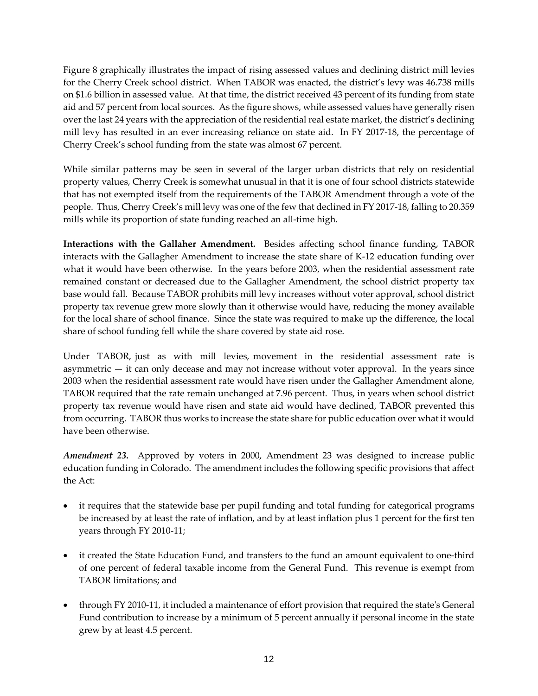Figure 8 graphically illustrates the impact of rising assessed values and declining district mill levies for the Cherry Creek school district. When TABOR was enacted, the district's levy was 46.738 mills on \$1.6 billion in assessed value. At that time, the district received 43 percent of its funding from state aid and 57 percent from local sources. As the figure shows, while assessed values have generally risen over the last 24 years with the appreciation of the residential real estate market, the district's declining mill levy has resulted in an ever increasing reliance on state aid. In FY 2017-18, the percentage of Cherry Creek's school funding from the state was almost 67 percent.

While similar patterns may be seen in several of the larger urban districts that rely on residential property values, Cherry Creek is somewhat unusual in that it is one of four school districts statewide that has not exempted itself from the requirements of the TABOR Amendment through a vote of the people. Thus, Cherry Creek's mill levy was one of the few that declined in FY 2017-18, falling to 20.359 mills while its proportion of state funding reached an all-time high.

**Interactions with the Gallaher Amendment.** Besides affecting school finance funding, TABOR interacts with the Gallagher Amendment to increase the state share of K-12 education funding over what it would have been otherwise. In the years before 2003, when the residential assessment rate remained constant or decreased due to the Gallagher Amendment, the school district property tax base would fall. Because TABOR prohibits mill levy increases without voter approval, school district property tax revenue grew more slowly than it otherwise would have, reducing the money available for the local share of school finance. Since the state was required to make up the difference, the local share of school funding fell while the share covered by state aid rose.

Under TABOR, just as with mill levies, movement in the residential assessment rate is asymmetric — it can only decease and may not increase without voter approval. In the years since 2003 when the residential assessment rate would have risen under the Gallagher Amendment alone, TABOR required that the rate remain unchanged at 7.96 percent. Thus, in years when school district property tax revenue would have risen and state aid would have declined, TABOR prevented this from occurring. TABOR thus works to increase the state share for public education over what it would have been otherwise.

*Amendment 23.* Approved by voters in 2000, Amendment 23 was designed to increase public education funding in Colorado. The amendment includes the following specific provisions that affect the Act:

- it requires that the statewide base per pupil funding and total funding for categorical programs be increased by at least the rate of inflation, and by at least inflation plus 1 percent for the first ten years through FY 2010-11;
- it created the State Education Fund, and transfers to the fund an amount equivalent to one-third of one percent of federal taxable income from the General Fund. This revenue is exempt from TABOR limitations; and
- through FY 2010-11, it included a maintenance of effort provision that required the state's General Fund contribution to increase by a minimum of 5 percent annually if personal income in the state grew by at least 4.5 percent.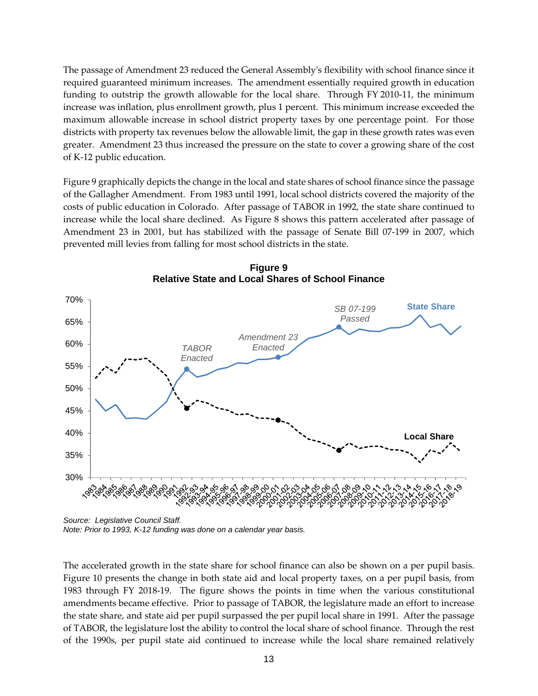The passage of Amendment 23 reduced the General Assembly's flexibility with school finance since it required guaranteed minimum increases. The amendment essentially required growth in education funding to outstrip the growth allowable for the local share. Through FY 2010-11, the minimum increase was inflation, plus enrollment growth, plus 1 percent. This minimum increase exceeded the maximum allowable increase in school district property taxes by one percentage point. For those districts with property tax revenues below the allowable limit, the gap in these growth rates was even greater. Amendment 23 thus increased the pressure on the state to cover a growing share of the cost of K-12 public education.

Figure 9 graphically depicts the change in the local and state shares of school finance since the passage of the Gallagher Amendment. From 1983 until 1991, local school districts covered the majority of the costs of public education in Colorado. After passage of TABOR in 1992, the state share continued to increase while the local share declined. As Figure 8 shows this pattern accelerated after passage of Amendment 23 in 2001, but has stabilized with the passage of Senate Bill 07-199 in 2007, which prevented mill levies from falling for most school districts in the state.



**Figure 9 Relative State and Local Shares of School Finance**

*Source: Legislative Council Staff. Note: Prior to 1993, K-12 funding was done on a calendar year basis.*

The accelerated growth in the state share for school finance can also be shown on a per pupil basis. Figure 10 presents the change in both state aid and local property taxes, on a per pupil basis, from 1983 through FY 2018-19. The figure shows the points in time when the various constitutional amendments became effective. Prior to passage of TABOR, the legislature made an effort to increase the state share, and state aid per pupil surpassed the per pupil local share in 1991. After the passage of TABOR, the legislature lost the ability to control the local share of school finance. Through the rest of the 1990s, per pupil state aid continued to increase while the local share remained relatively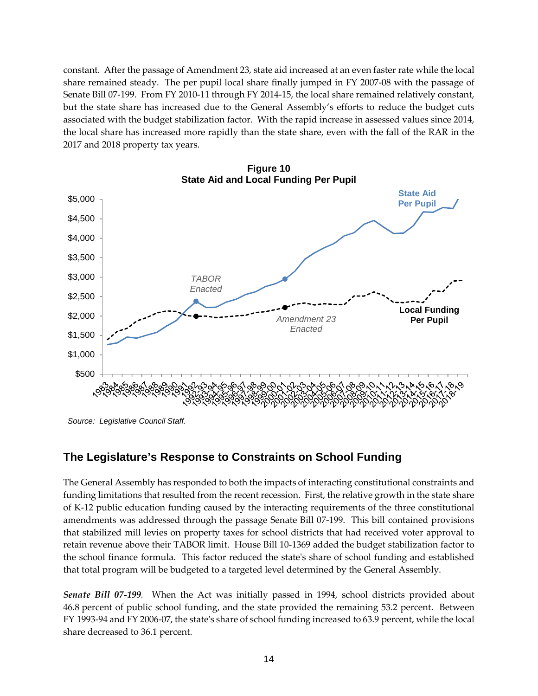constant. After the passage of Amendment 23, state aid increased at an even faster rate while the local share remained steady. The per pupil local share finally jumped in FY 2007-08 with the passage of Senate Bill 07-199. From FY 2010-11 through FY 2014-15, the local share remained relatively constant, but the state share has increased due to the General Assembly's efforts to reduce the budget cuts associated with the budget stabilization factor. With the rapid increase in assessed values since 2014, the local share has increased more rapidly than the state share, even with the fall of the RAR in the 2017 and 2018 property tax years.



**Figure 10 State Aid and Local Funding Per Pupil**

#### **The Legislature's Response to Constraints on School Funding**

The General Assembly has responded to both the impacts of interacting constitutional constraints and funding limitations that resulted from the recent recession. First, the relative growth in the state share of K-12 public education funding caused by the interacting requirements of the three constitutional amendments was addressed through the passage Senate Bill 07-199. This bill contained provisions that stabilized mill levies on property taxes for school districts that had received voter approval to retain revenue above their TABOR limit. House Bill 10-1369 added the budget stabilization factor to the school finance formula. This factor reduced the state's share of school funding and established that total program will be budgeted to a targeted level determined by the General Assembly.

*Senate Bill 07-199.* When the Act was initially passed in 1994, school districts provided about 46.8 percent of public school funding, and the state provided the remaining 53.2 percent. Between FY 1993-94 and FY 2006-07, the state's share of school funding increased to 63.9 percent, while the local share decreased to 36.1 percent.

*Source: Legislative Council Staff.*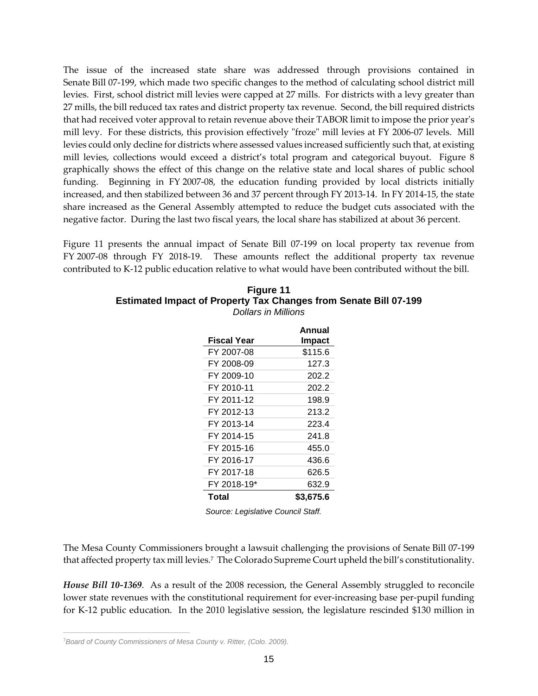The issue of the increased state share was addressed through provisions contained in Senate Bill 07-199, which made two specific changes to the method of calculating school district mill levies. First, school district mill levies were capped at 27 mills. For districts with a levy greater than 27 mills, the bill reduced tax rates and district property tax revenue. Second, the bill required districts that had received voter approval to retain revenue above their TABOR limit to impose the prior year's mill levy. For these districts, this provision effectively "froze" mill levies at FY 2006-07 levels. Mill levies could only decline for districts where assessed values increased sufficiently such that, at existing mill levies, collections would exceed a district's total program and categorical buyout. Figure 8 graphically shows the effect of this change on the relative state and local shares of public school funding. Beginning in FY 2007-08, the education funding provided by local districts initially increased, and then stabilized between 36 and 37 percent through FY 2013-14. In FY 2014-15, the state share increased as the General Assembly attempted to reduce the budget cuts associated with the negative factor. During the last two fiscal years, the local share has stabilized at about 36 percent.

Figure 11 presents the annual impact of Senate Bill 07-199 on local property tax revenue from FY 2007-08 through FY 2018-19. These amounts reflect the additional property tax revenue contributed to K-12 public education relative to what would have been contributed without the bill.

| <b>Figure 11</b>                                                        |
|-------------------------------------------------------------------------|
| <b>Estimated Impact of Property Tax Changes from Senate Bill 07-199</b> |
| Dollars in Millions                                                     |

|             | Annual        |
|-------------|---------------|
| Fiscal Year | <b>Impact</b> |
| FY 2007-08  | \$115.6       |
| FY 2008-09  | 127.3         |
| FY 2009-10  | 202.2         |
| FY 2010-11  | 202.2         |
| FY 2011-12  | 198.9         |
| FY 2012-13  | 213.2         |
| FY 2013-14  | 223.4         |
| FY 2014-15  | 241.8         |
| FY 2015-16  | 455.0         |
| FY 2016-17  | 436.6         |
| FY 2017-18  | 626.5         |
| FY 2018-19* | 632.9         |
| Total       | \$3,675.6     |

*Source: Legislative Council Staff.*

The Mesa County Commissioners brought a lawsuit challenging the provisions of Senate Bill 07-199 that affected property tax mill levies.<sup>7</sup> The Colorado Supreme Court upheld the bill's constitutionality.

*House Bill 10-1369*. As a result of the 2008 recession, the General Assembly struggled to reconcile lower state revenues with the constitutional requirement for ever-increasing base per-pupil funding for K-12 public education. In the 2010 legislative session, the legislature rescinded \$130 million in

<sup>7</sup>*Board of County Commissioners of Mesa County v. Ritter, (Colo. 2009).*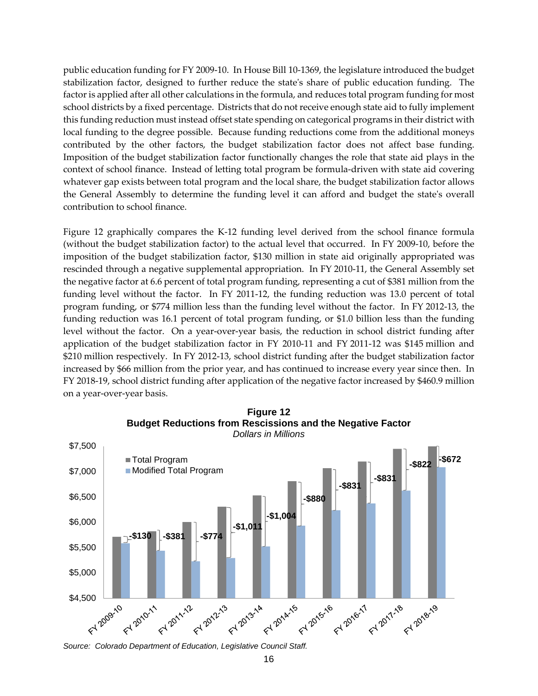public education funding for FY 2009-10. In House Bill 10-1369, the legislature introduced the budget stabilization factor, designed to further reduce the state's share of public education funding. The factor is applied after all other calculations in the formula, and reduces total program funding for most school districts by a fixed percentage. Districts that do not receive enough state aid to fully implement this funding reduction must instead offset state spending on categorical programs in their district with local funding to the degree possible. Because funding reductions come from the additional moneys contributed by the other factors, the budget stabilization factor does not affect base funding. Imposition of the budget stabilization factor functionally changes the role that state aid plays in the context of school finance. Instead of letting total program be formula-driven with state aid covering whatever gap exists between total program and the local share, the budget stabilization factor allows the General Assembly to determine the funding level it can afford and budget the state's overall contribution to school finance.

Figure 12 graphically compares the K-12 funding level derived from the school finance formula (without the budget stabilization factor) to the actual level that occurred. In FY 2009-10, before the imposition of the budget stabilization factor, \$130 million in state aid originally appropriated was rescinded through a negative supplemental appropriation. In FY 2010-11, the General Assembly set the negative factor at 6.6 percent of total program funding, representing a cut of \$381 million from the funding level without the factor. In FY 2011-12, the funding reduction was 13.0 percent of total program funding, or \$774 million less than the funding level without the factor. In FY 2012-13, the funding reduction was 16.1 percent of total program funding, or \$1.0 billion less than the funding level without the factor. On a year-over-year basis, the reduction in school district funding after application of the budget stabilization factor in FY 2010-11 and FY 2011-12 was \$145 million and \$210 million respectively. In FY 2012-13, school district funding after the budget stabilization factor increased by \$66 million from the prior year, and has continued to increase every year since then. In FY 2018-19, school district funding after application of the negative factor increased by \$460.9 million on a year-over-year basis.



**Figure 12 Budget Reductions from Rescissions and the Negative Factor** *Dollars in Millions*

*Source: Colorado Department of Education, Legislative Council Staff.*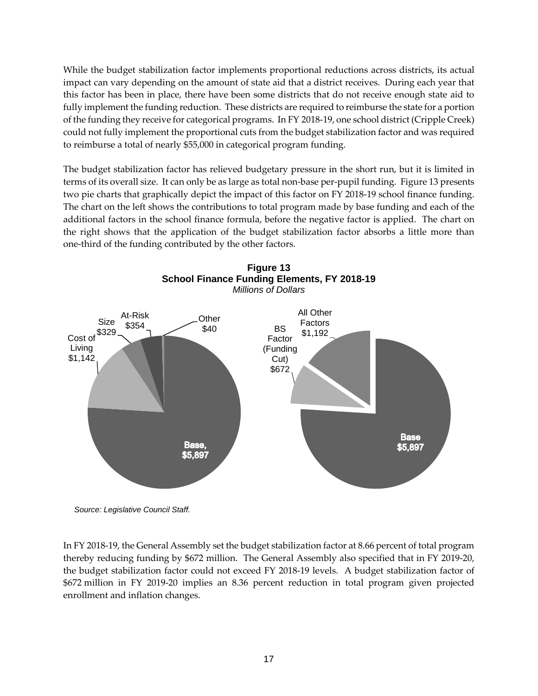While the budget stabilization factor implements proportional reductions across districts, its actual impact can vary depending on the amount of state aid that a district receives. During each year that this factor has been in place, there have been some districts that do not receive enough state aid to fully implement the funding reduction. These districts are required to reimburse the state for a portion of the funding they receive for categorical programs. In FY 2018-19, one school district (Cripple Creek) could not fully implement the proportional cuts from the budget stabilization factor and was required to reimburse a total of nearly \$55,000 in categorical program funding.

The budget stabilization factor has relieved budgetary pressure in the short run, but it is limited in terms of its overall size. It can only be as large as total non-base per-pupil funding. Figure 13 presents two pie charts that graphically depict the impact of this factor on FY 2018-19 school finance funding. The chart on the left shows the contributions to total program made by base funding and each of the additional factors in the school finance formula, before the negative factor is applied. The chart on the right shows that the application of the budget stabilization factor absorbs a little more than one-third of the funding contributed by the other factors.



*Source: Legislative Council Staff.*

In FY 2018-19, the General Assembly set the budget stabilization factor at 8.66 percent of total program thereby reducing funding by \$672 million. The General Assembly also specified that in FY 2019-20, the budget stabilization factor could not exceed FY 2018-19 levels. A budget stabilization factor of \$672 million in FY 2019-20 implies an 8.36 percent reduction in total program given projected enrollment and inflation changes.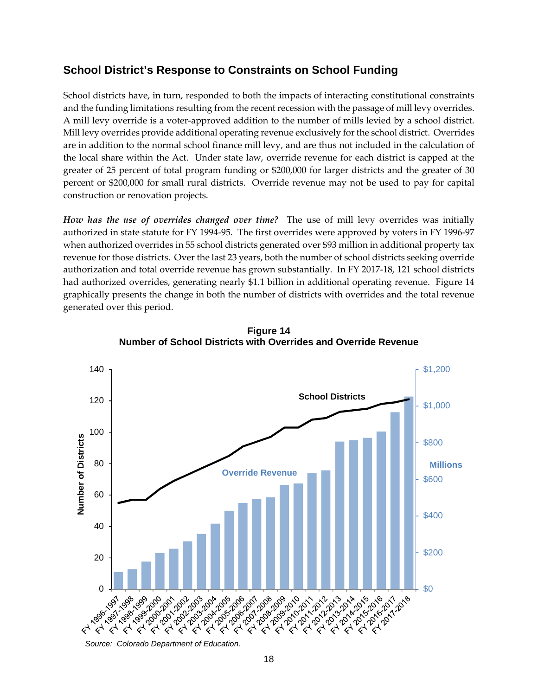#### **School District's Response to Constraints on School Funding**

School districts have, in turn, responded to both the impacts of interacting constitutional constraints and the funding limitations resulting from the recent recession with the passage of mill levy overrides. A mill levy override is a voter-approved addition to the number of mills levied by a school district. Mill levy overrides provide additional operating revenue exclusively for the school district. Overrides are in addition to the normal school finance mill levy, and are thus not included in the calculation of the local share within the Act. Under state law, override revenue for each district is capped at the greater of 25 percent of total program funding or \$200,000 for larger districts and the greater of 30 percent or \$200,000 for small rural districts. Override revenue may not be used to pay for capital construction or renovation projects.

*How has the use of overrides changed over time?* The use of mill levy overrides was initially authorized in state statute for FY 1994-95. The first overrides were approved by voters in FY 1996-97 when authorized overrides in 55 school districts generated over \$93 million in additional property tax revenue for those districts. Over the last 23 years, both the number of school districts seeking override authorization and total override revenue has grown substantially. In FY 2017-18, 121 school districts had authorized overrides, generating nearly \$1.1 billion in additional operating revenue. Figure 14 graphically presents the change in both the number of districts with overrides and the total revenue generated over this period.



**Figure 14 Number of School Districts with Overrides and Override Revenue**